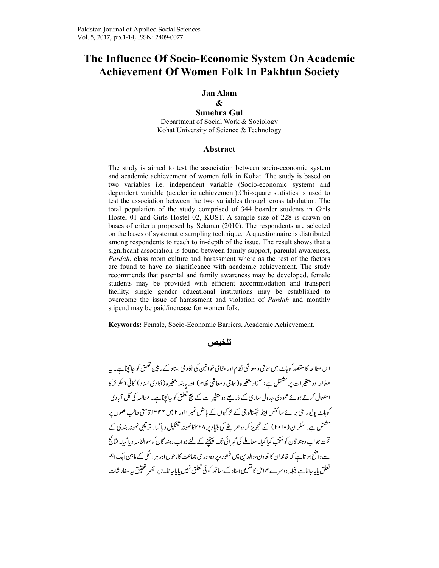# **The Influence Of Socio-Economic System On Academic Achievement Of Women Folk In Pakhtun Society**

#### **Jan Alam**

### **&**

**Sunehra Gul**  Department of Social Work & Sociology Kohat University of Science & Technology

#### **Abstract**

The study is aimed to test the association between socio-economic system and academic achievement of women folk in Kohat. The study is based on two variables i.e. independent variable (Socio-economic system) and dependent variable (academic achievement).Chi-square statistics is used to test the association between the two variables through cross tabulation. The total population of the study comprised of 344 boarder students in Girls Hostel 01 and Girls Hostel 02, KUST. A sample size of 228 is drawn on bases of criteria proposed by Sekaran (2010). The respondents are selected on the bases of systematic sampling technique. A questionnaire is distributed among respondents to reach to in-depth of the issue. The result shows that a significant association is found between family support, parental awareness, *Purdah*, class room culture and harassment where as the rest of the factors are found to have no significance with academic achievement. The study recommends that parental and family awareness may be developed, female students may be provided with efficient accommodation and transport facility, single gender educational institutions may be established to overcome the issue of harassment and violation of *Purdah* and monthly stipend may be paid/increase for women folk.

**Keywords:** Female, Socio-Economic Barriers, Academic Achievement.

### ت**نخیص**

-اس مطالعہ کا مقصد کوہاٹ میں ساجی و معاشی نظام اور مقامی خواتین کی اکاد می اسناد کے مانین تعلق کو جانچیاہے۔ بیہ -مطالعه دو متغیرات پر مستمل ہے: آزاد متغیرہ (ساجی و معاشی نظام) اور پابند متغیرہ (اکادمی اسناد) کائی اسکوائر کا استعال کرتے ہوئے عمودی جدول سازی کے ذریعے دو متغیرات کے نیچ تعلق کو جانچاہے۔ مطالعہ کی کل آبادی -کوہاٹ یونیور سٹی برائے سائنس ابیڈ ٹیکنالوجی کے لڑ کیوں کے ہاسٹل نمبر ا اور ۲ میں ۱۳۴۴ قامتی طالب علموں پر -مسٹمل ہے۔سکران (۲۰۱۰) کے تجویز کر دہ طریقے کی بنیاد پر ۲۲۸ کانمونہ نشکیل دیا گیا۔تریکمی نمونہ بندی کے -تحت جواب دہند گان کو منتخب کیا گیا۔ معاملے کی گہرائی تک پہنچنے کے لئے جواب دہند گان کو سوالنامہ دیا گیا۔ نتائج -سے واضح ہو تاہے کہ خاند ان کا تعاون،والدین میں شعور، پر دہ، درسی جماعت کاماحول اور ہر اسکی کے مابین ایک اہم -لعلق پایا جا تا ہے جبکہ دوسرے عوامل کا تعلیمی اسناد کے ساتھ کوئی تعلق نہیں پایا جاتا۔ زیر نظر تحقیق بیہ سفار شات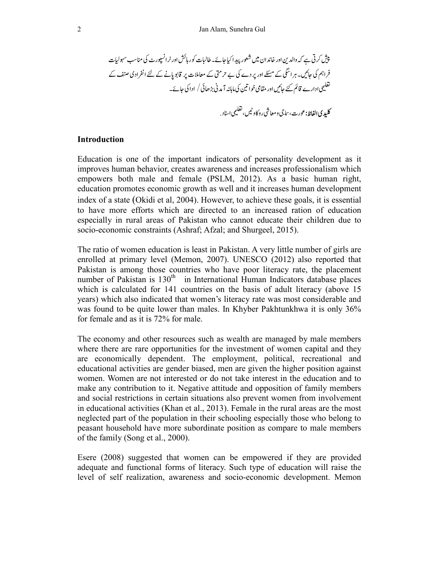-'°¢-£§-öõ-ú --'ùV->wûz--YÄ--{|-Å-üA-† --•-4
¶r- ß0-®X-&-'©--W™-´-ó
&--¨- áà---ÖÆ >-- µ-3ذ-±²,b ------³-¥Xó
î º 
î-}¹----}'ñ-)¶·-4¸

#### **Introduction**

Education is one of the important indicators of personality development as it improves human behavior, creates awareness and increases professionalism which empowers both male and female (PSLM, 2012). As a basic human right, education promotes economic growth as well and it increases human development index of a state (Okidi et al, 2004). However, to achieve these goals, it is essential to have more efforts which are directed to an increased ration of education especially in rural areas of Pakistan who cannot educate their children due to socio-economic constraints (Ashraf; Afzal; and Shurgeel, 2015).

The ratio of women education is least in Pakistan. A very little number of girls are enrolled at primary level (Memon, 2007). UNESCO (2012) also reported that Pakistan is among those countries who have poor literacy rate, the placement number of Pakistan is 130<sup>th</sup> in International Human Indicators database places which is calculated for 141 countries on the basis of adult literacy (above 15 years) which also indicated that women's literacy rate was most considerable and was found to be quite lower than males. In Khyber Pakhtunkhwa it is only 36% for female and as it is 72% for male.

The economy and other resources such as wealth are managed by male members where there are rare opportunities for the investment of women capital and they are economically dependent. The employment, political, recreational and educational activities are gender biased, men are given the higher position against women. Women are not interested or do not take interest in the education and to make any contribution to it. Negative attitude and opposition of family members and social restrictions in certain situations also prevent women from involvement in educational activities (Khan et al., 2013). Female in the rural areas are the most neglected part of the population in their schooling especially those who belong to peasant household have more subordinate position as compare to male members of the family (Song et al., 2000).

Esere (2008) suggested that women can be empowered if they are provided adequate and functional forms of literacy. Such type of education will raise the level of self realization, awareness and socio-economic development. Memon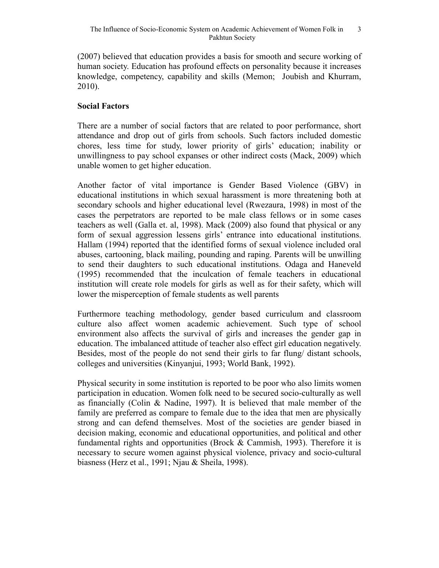(2007) believed that education provides a basis for smooth and secure working of human society. Education has profound effects on personality because it increases knowledge, competency, capability and skills (Memon; Joubish and Khurram, 2010).

# **Social Factors**

There are a number of social factors that are related to poor performance, short attendance and drop out of girls from schools. Such factors included domestic chores, less time for study, lower priority of girls' education; inability or unwillingness to pay school expanses or other indirect costs (Mack, 2009) which unable women to get higher education.

Another factor of vital importance is Gender Based Violence (GBV) in educational institutions in which sexual harassment is more threatening both at secondary schools and higher educational level (Rwezaura, 1998) in most of the cases the perpetrators are reported to be male class fellows or in some cases teachers as well (Galla et. al, 1998). Mack (2009) also found that physical or any form of sexual aggression lessens girls' entrance into educational institutions. Hallam (1994) reported that the identified forms of sexual violence included oral abuses, cartooning, black mailing, pounding and raping. Parents will be unwilling to send their daughters to such educational institutions. Odaga and Haneveld (1995) recommended that the inculcation of female teachers in educational institution will create role models for girls as well as for their safety, which will lower the misperception of female students as well parents

Furthermore teaching methodology, gender based curriculum and classroom culture also affect women academic achievement. Such type of school environment also affects the survival of girls and increases the gender gap in education. The imbalanced attitude of teacher also effect girl education negatively. Besides, most of the people do not send their girls to far flung/ distant schools, colleges and universities (Kinyanjui, 1993; World Bank, 1992).

Physical security in some institution is reported to be poor who also limits women participation in education. Women folk need to be secured socio-culturally as well as financially (Colin & Nadine, 1997). It is believed that male member of the family are preferred as compare to female due to the idea that men are physically strong and can defend themselves. Most of the societies are gender biased in decision making, economic and educational opportunities, and political and other fundamental rights and opportunities (Brock & Cammish, 1993). Therefore it is necessary to secure women against physical violence, privacy and socio-cultural biasness (Herz et al., 1991; Njau & Sheila, 1998).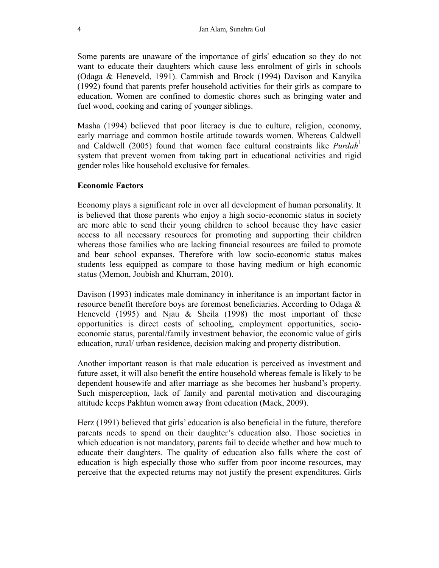Some parents are unaware of the importance of girls' education so they do not want to educate their daughters which cause less enrolment of girls in schools (Odaga & Heneveld, 1991). Cammish and Brock (1994) Davison and Kanyika (1992) found that parents prefer household activities for their girls as compare to education. Women are confined to domestic chores such as bringing water and fuel wood, cooking and caring of younger siblings.

Masha (1994) believed that poor literacy is due to culture, religion, economy, early marriage and common hostile attitude towards women. Whereas Caldwell and Caldwell (2005) found that women face cultural constraints like *Purdah*<sup>1</sup> system that prevent women from taking part in educational activities and rigid gender roles like household exclusive for females.

### **Economic Factors**

Economy plays a significant role in over all development of human personality. It is believed that those parents who enjoy a high socio-economic status in society are more able to send their young children to school because they have easier access to all necessary resources for promoting and supporting their children whereas those families who are lacking financial resources are failed to promote and bear school expanses. Therefore with low socio-economic status makes students less equipped as compare to those having medium or high economic status (Memon, Joubish and Khurram, 2010).

Davison (1993) indicates male dominancy in inheritance is an important factor in resource benefit therefore boys are foremost beneficiaries. According to Odaga & Heneveld (1995) and Njau & Sheila (1998) the most important of these opportunities is direct costs of schooling, employment opportunities, socioeconomic status, parental/family investment behavior, the economic value of girls education, rural/ urban residence, decision making and property distribution.

Another important reason is that male education is perceived as investment and future asset, it will also benefit the entire household whereas female is likely to be dependent housewife and after marriage as she becomes her husband's property. Such misperception, lack of family and parental motivation and discouraging attitude keeps Pakhtun women away from education (Mack, 2009).

Herz (1991) believed that girls' education is also beneficial in the future, therefore parents needs to spend on their daughter's education also. Those societies in which education is not mandatory, parents fail to decide whether and how much to educate their daughters. The quality of education also falls where the cost of education is high especially those who suffer from poor income resources, may perceive that the expected returns may not justify the present expenditures. Girls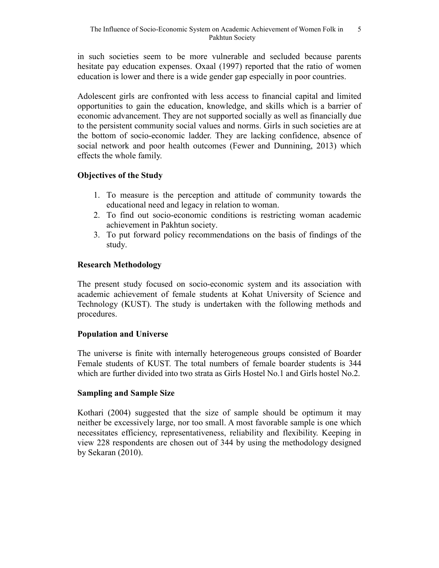in such societies seem to be more vulnerable and secluded because parents hesitate pay education expenses. Oxaal (1997) reported that the ratio of women education is lower and there is a wide gender gap especially in poor countries.

Adolescent girls are confronted with less access to financial capital and limited opportunities to gain the education, knowledge, and skills which is a barrier of economic advancement. They are not supported socially as well as financially due to the persistent community social values and norms. Girls in such societies are at the bottom of socio-economic ladder. They are lacking confidence, absence of social network and poor health outcomes (Fewer and Dunnining, 2013) which effects the whole family.

# **Objectives of the Study**

- 1. To measure is the perception and attitude of community towards the educational need and legacy in relation to woman.
- 2. To find out socio-economic conditions is restricting woman academic achievement in Pakhtun society.
- 3. To put forward policy recommendations on the basis of findings of the study.

# **Research Methodology**

The present study focused on socio-economic system and its association with academic achievement of female students at Kohat University of Science and Technology (KUST). The study is undertaken with the following methods and procedures.

### **Population and Universe**

The universe is finite with internally heterogeneous groups consisted of Boarder Female students of KUST. The total numbers of female boarder students is 344 which are further divided into two strata as Girls Hostel No.1 and Girls hostel No.2.

### **Sampling and Sample Size**

Kothari (2004) suggested that the size of sample should be optimum it may neither be excessively large, nor too small. A most favorable sample is one which necessitates efficiency, representativeness, reliability and flexibility. Keeping in view 228 respondents are chosen out of 344 by using the methodology designed by Sekaran (2010).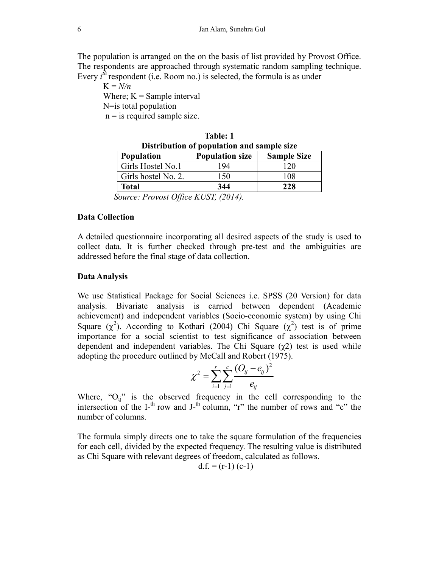The population is arranged on the on the basis of list provided by Provost Office. The respondents are approached through systematic random sampling technique. Every  $i^h$  respondent (i.e. Room no.) is selected, the formula is as under

 $K = N/n$ Where;  $K =$  Sample interval N=is total population  $n =$  is required sample size.

| .<br>Distribution of population and sample size                                     |                        |                    |  |  |  |  |  |
|-------------------------------------------------------------------------------------|------------------------|--------------------|--|--|--|--|--|
| <b>Population</b>                                                                   | <b>Population size</b> | <b>Sample Size</b> |  |  |  |  |  |
| Girls Hostel No.1                                                                   | 194                    | 120                |  |  |  |  |  |
| Girls hostel No. 2.                                                                 | 150                    | 108                |  |  |  |  |  |
| <b>Total</b>                                                                        | 344                    | 228                |  |  |  |  |  |
| $\Gamma_{\text{current}}$ $D_{\text{current}}$ $\Omega_{\text{test}}$ $VUUT$ (2014) |                        |                    |  |  |  |  |  |

**Table: 1** 

 *Source: Provost Office KUST, (2014).* 

### **Data Collection**

A detailed questionnaire incorporating all desired aspects of the study is used to collect data. It is further checked through pre-test and the ambiguities are addressed before the final stage of data collection.

### **Data Analysis**

We use Statistical Package for Social Sciences i.e. SPSS (20 Version) for data analysis. Bivariate analysis is carried between dependent (Academic achievement) and independent variables (Socio-economic system) by using Chi Square  $(\chi^2)$ . According to Kothari (2004) Chi Square  $(\chi^2)$  test is of prime importance for a social scientist to test significance of association between dependent and independent variables. The Chi Square  $(\chi^2)$  test is used while adopting the procedure outlined by McCall and Robert (1975).

$$
\chi^2 = \sum_{i=1}^r \sum_{j=1}^c \frac{(O_{ij} - e_{ij})^2}{e_{ij}}
$$

Where, " $O_{ij}$ " is the observed frequency in the cell corresponding to the intersection of the I-<sup>th</sup> row and J-<sup>th</sup> column, "r" the number of rows and "c" the number of columns.

The formula simply directs one to take the square formulation of the frequencies for each cell, divided by the expected frequency. The resulting value is distributed as Chi Square with relevant degrees of freedom, calculated as follows.

$$
d.f. = (r-1) (c-1)
$$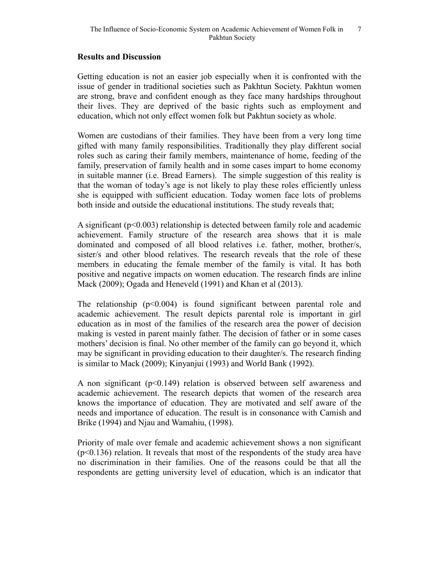### **Results and Discussion**

Getting education is not an easier job especially when it is confronted with the issue of gender in traditional societies such as Pakhtun Society. Pakhtun women are strong, brave and confident enough as they face many hardships throughout their lives. They are deprived of the basic rights such as employment and education, which not only effect women folk but Pakhtun society as whole.

Women are custodians of their families. They have been from a very long time gifted with many family responsibilities. Traditionally they play different social roles such as caring their family members, maintenance of home, feeding of the family, preservation of family health and in some cases impart to home economy in suitable manner (i.e. Bread Earners). The simple suggestion of this reality is that the woman of today's age is not likely to play these roles efficiently unless she is equipped with sufficient education. Today women face lots of problems both inside and outside the educational institutions. The study reveals that;

A significant (p<0.003) relationship is detected between family role and academic achievement. Family structure of the research area shows that it is male dominated and composed of all blood relatives i.e. father, mother, brother/s, sister/s and other blood relatives. The research reveals that the role of these members in educating the female member of the family is vital. It has both positive and negative impacts on women education. The research finds are inline Mack (2009); Ogada and Heneveld (1991) and Khan et al (2013).

The relationship  $(p<0.004)$  is found significant between parental role and academic achievement. The result depicts parental role is important in girl education as in most of the families of the research area the power of decision making is vested in parent mainly father. The decision of father or in some cases mothers' decision is final. No other member of the family can go beyond it, which may be significant in providing education to their daughter/s. The research finding is similar to Mack (2009); Kinyanjui (1993) and World Bank (1992).

A non significant (p<0.149) relation is observed between self awareness and academic achievement. The research depicts that women of the research area knows the importance of education. They are motivated and self aware of the needs and importance of education. The result is in consonance with Camish and Brike (1994) and Njau and Wamahiu, (1998).

Priority of male over female and academic achievement shows a non significant  $(p<0.136)$  relation. It reveals that most of the respondents of the study area have no discrimination in their families. One of the reasons could be that all the respondents are getting university level of education, which is an indicator that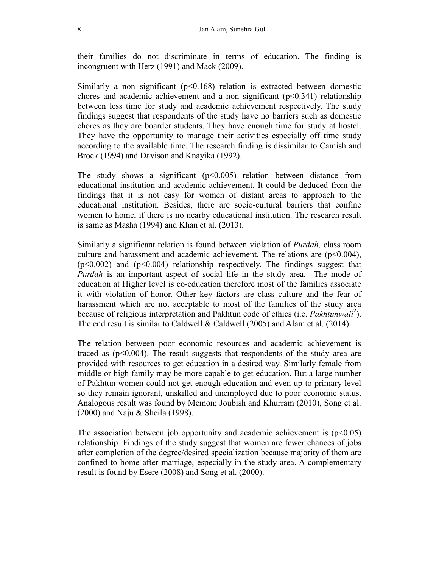their families do not discriminate in terms of education. The finding is incongruent with Herz (1991) and Mack (2009).

Similarly a non significant ( $p<0.168$ ) relation is extracted between domestic chores and academic achievement and a non significant  $(p<0.341)$  relationship between less time for study and academic achievement respectively. The study findings suggest that respondents of the study have no barriers such as domestic chores as they are boarder students. They have enough time for study at hostel. They have the opportunity to manage their activities especially off time study according to the available time. The research finding is dissimilar to Camish and Brock (1994) and Davison and Knayika (1992).

The study shows a significant  $(p<0.005)$  relation between distance from educational institution and academic achievement. It could be deduced from the findings that it is not easy for women of distant areas to approach to the educational institution. Besides, there are socio-cultural barriers that confine women to home, if there is no nearby educational institution. The research result is same as Masha (1994) and Khan et al. (2013).

Similarly a significant relation is found between violation of *Purdah,* class room culture and harassment and academic achievement. The relations are  $(p<0.004)$ ,  $(p<0.002)$  and  $(p<0.004)$  relationship respectively. The findings suggest that *Purdah* is an important aspect of social life in the study area. The mode of education at Higher level is co-education therefore most of the families associate it with violation of honor. Other key factors are class culture and the fear of harassment which are not acceptable to most of the families of the study area because of religious interpretation and Pakhtun code of ethics (i.e. *Pakhtunwali*<sup>2</sup>). The end result is similar to Caldwell & Caldwell (2005) and Alam et al. (2014).

The relation between poor economic resources and academic achievement is traced as  $(p<0.004)$ . The result suggests that respondents of the study area are provided with resources to get education in a desired way. Similarly female from middle or high family may be more capable to get education. But a large number of Pakhtun women could not get enough education and even up to primary level so they remain ignorant, unskilled and unemployed due to poor economic status. Analogous result was found by Memon; Joubish and Khurram (2010), Song et al. (2000) and Naju & Sheila (1998).

The association between job opportunity and academic achievement is  $(p<0.05)$ relationship. Findings of the study suggest that women are fewer chances of jobs after completion of the degree/desired specialization because majority of them are confined to home after marriage, especially in the study area. A complementary result is found by Esere (2008) and Song et al. (2000).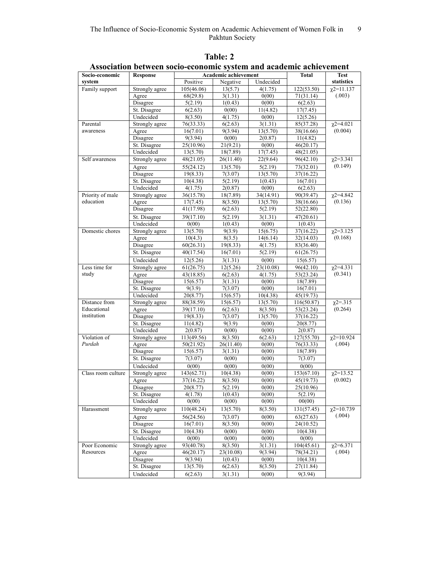| Socio-economic               | cconomne system unu u<br>Academic achievement<br><b>Response</b> |                        |                    | Total               | <b>Test</b>             |                                      |
|------------------------------|------------------------------------------------------------------|------------------------|--------------------|---------------------|-------------------------|--------------------------------------|
| system                       |                                                                  | Positive               | Negative           | Undecided           |                         | statistics                           |
| Family support               | Strongly agree                                                   | 105(46.06)             | 13(5.7)            | 4(1.75)             | 122(53.50)              | $\chi$ 2=11.137                      |
|                              | Agree                                                            | 68(29.8)               | 3(1.31)            | 0(00)               | 71(31.14)               | (.003)                               |
|                              | Disagree                                                         | 5(2.19)                | 1(0.43)            | 0(00)               | 6(2.63)                 |                                      |
|                              | St. Disagree                                                     | 6(2.63)                | 0(00)              | 11(4.82)            | 17(7.45)                |                                      |
|                              | Undecided                                                        | 8(3.50)                | 4(1.75)            | 0(00)               | 12(5.26)                |                                      |
| Parental                     | Strongly agree                                                   | 76(33.33)              | 6(2.63)            | 3(1.31)             | 85(37.28)               | $\chi$ 2=4.021                       |
| awareness                    | Agree                                                            | 16(7.01)               | 9(3.94)            | 13(5.70)            | 38(16.66)               | (0.004)                              |
|                              | Disagree                                                         | 9(3.94)                | 0(00)              | 2(0.87)             | 11(4.82)                |                                      |
|                              | St. Disagree                                                     | 25(10.96)              | 21(9.21)           | 0(00)               | 46(20.17)               |                                      |
|                              | Undecided                                                        | 13(5.70)               | 18(7.89)           | 17(7.45)            | 48(21.05)               |                                      |
| Self awareness               | Strongly agree                                                   | 48(21.05)              | 26(11.40)          | 22(9.64)            | 96(42.10)               | $\sqrt{2} = 3.341$                   |
|                              | Agree                                                            | 55(24.12)              | 13(5.70)           | 5(2.19)             | 73(32.01)               | (0.149)                              |
|                              | Disagree                                                         | 19(8.33)               | 7(3.07)            | 13(5.70)            | 37(16.22)               |                                      |
|                              | St. Disagree                                                     | 10(4.38)               | 5(2.19)            | 1(0.43)             | 16(7.01)                |                                      |
|                              | Undecided                                                        | 4(1.75)                | 2(0.87)            | 0(00)               | 6(2.63)                 |                                      |
| Priority of male             | Strongly agree                                                   | 36(15.78)              | 18(7.89)           | 34(14.91)           | 90(39.47)               | $\chi$ 2=4.842                       |
| education                    | Agree                                                            | 17(7.45)               | 8(3.50)            | 13(5.70)            | 38(16.66)               | (0.136)                              |
|                              | Disagree                                                         | $\overline{41}(17.98)$ | 6(2.63)            | 5(2.19)             | $\overline{52}(22.80)$  |                                      |
|                              | St. Disagree                                                     | 39(17.10)              | 5(2.19)            | 3(1.31)             | 47(20.61)               |                                      |
|                              | Undecided                                                        | 0(00)                  | 1(0.43)            | 0(00)               | 1(0.43)                 |                                      |
| Domestic chores              | Strongly agree                                                   | 13(5.70)               | 9(3.9)             | 15(6.75)            | 37(16.22)               | $\chi$ 2=3.125                       |
|                              | Agree                                                            | 10(4.3)                | 8(3.5)             | 14(6.14)            | 32(14.03)               | (0.168)                              |
|                              | Disagree                                                         | 60(26.31)              | 19(8.33)           | 4(1.75)             | 83(36.40)               |                                      |
|                              | St. Disagree                                                     | 40(17.54)              | 16(7.01)           | 5(2.19)             | 61(26.75)               |                                      |
|                              | Undecided                                                        | 12(5.26)               | 3(1.31)            | 0(00)               | 15(6.57)                |                                      |
| Less time for                | Strongly agree                                                   | 61(26.75)              | 12(5.26)           | 23(10.08)           | 96(42.10)               | $\chi$ 2=4.331                       |
| study                        | Agree                                                            | 43(18.85)              | 6(2.63)            | 4(1.75)             | 53(23.24)               | (0.341)                              |
|                              | Disagree                                                         | 15(6.57)               | 3(1.31)            | 0(00)               | 18(7.89)                |                                      |
|                              | St. Disagree                                                     | 9(3.9)                 | 7(3.07)            | 0(00)               | 16(7.01)                |                                      |
|                              | Undecided                                                        | 20(8.77)               | 15(6.57)           | 10(4.38)            | 45(19.73)               |                                      |
| Distance from<br>Educational | Strongly agree                                                   | 88(38.59)              | 15(6.57)           | 13(5.70)<br>8(3.50) | 116(50.87)              | $\chi$ <sup>2=</sup> .315<br>(0.264) |
| institution                  | Agree<br>Disagree                                                | 39(17.10)<br>19(8.33)  | 6(2.63)<br>7(3.07) | 13(5.70)            | 53(23.24)<br>37(16.22)  |                                      |
|                              | St. Disagree                                                     | 11(4.82)               | 9(3.9)             | 0(00)               | 20(8.77)                |                                      |
|                              | Undecided                                                        | 2(0.87)                | 0(00)              | 0(00)               | 2(0.87)                 |                                      |
| Violation of                 | Strongly agree                                                   | 113(49.56)             | 8(3.50)            | 6(2.63)             | 127(55.70)              | $\chi$ 2=10.924                      |
| Purdah                       | Agree                                                            | 50(21.92)              | 26(11.40)          | 0(00)               | $\overline{76}$ (33.33) | (.004)                               |
|                              | Disagree                                                         | 15(6.57)               | 3(1.31)            | 0(00)               | 18(7.89)                |                                      |
|                              | St. Disagree                                                     | 7(3.07)                | 0(00)              | 0(00)               | 7(3.07)                 |                                      |
|                              | Undecided                                                        | 0(00)                  | 0(00)              | 0(00)               | 0(00)                   |                                      |
| Class room culture           | Strongly agree                                                   | 143(62.71)             | 10(4.38)           | 0(00)               | 153(67.10)              | $\sqrt{2}$ =13.52                    |
|                              | Agree                                                            | 37(16.22)              | 8(3.50)            | 0(00)               | 45(19.73)               | (0.002)                              |
|                              | Disagree                                                         | 20(8.77)               | 5(2.19)            | 0(00)               | 25(10.96)               |                                      |
|                              | St. Disagree                                                     | 4(1.78)                | 1(0.43)            | 0(00)               | 5(2.19)                 |                                      |
|                              | Undecided                                                        | 0(00)                  | 0(00)              | 0(00)               | 00(00)                  |                                      |
| Harassment                   | Strongly agree                                                   | 110(48.24)             | 13(5.70)           | 8(3.50)             | 131(57.45)              | $\chi$ 2=10.739                      |
|                              | Agree                                                            | 56(24.56)              | 7(3.07)            | 0(00)               | 63(27.63)               | (.004)                               |
|                              | Disagree                                                         | 16(7.01)               | 8(3.50)            | 0(00)               | 24(10.52)               |                                      |
|                              | St. Disagree                                                     | 10(4.38)               | 0(00)              | 0(00)               | 10(4.38)                |                                      |
|                              | Undecided                                                        | 0(00)                  | 0(00)              | 0(00)               | 0(00)                   |                                      |
| Poor Economic                | Strongly agree                                                   | 93(40.78)              | 8(3.50)            | 3(1.31)             | 104(45.61)              | $\chi$ 2=6.371                       |
| Resources                    | Agree                                                            | 46(20.17)              | 23(10.08)          | 9(3.94)             | 78(34.21)               | (.004)                               |
|                              | Disagree                                                         | 9(3.94)                | 1(0.43)            | 0(00)               | 10(4.38)                |                                      |
|                              | St. Disagree                                                     | 13(5.70)               | 6(2.63)            | 8(3.50)             | 27(11.84)               |                                      |
|                              | Undecided                                                        | 6(2.63)                | 3(1.31)            | 0(00)               | 9(3.94)                 |                                      |

**Table: 2 Association between socio-economic system and academic achievement**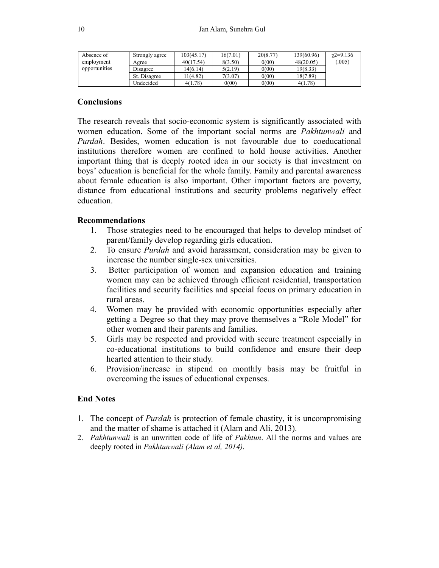| Absence of    | Strongly agree  | 103(45.17) | 16(7.01) | 20(8.77) | 139(60.96) | $\gamma$ 2=9.136 |
|---------------|-----------------|------------|----------|----------|------------|------------------|
| employment    | Agree           | 40(17.54)  | 8(3.50)  | 0(00)    | 48(20.05)  | 005              |
| opportunities | <b>Disagree</b> | 14(6.14)   | 5(2.19)  | 0(00)    | 19(8.33)   |                  |
|               | St. Disagree    | 1(4.82)    | 7(3.07)  | 0(00)    | 18(7.89)   |                  |
|               | Jndecided       | 4(1.78)    | 0(00)    | 0(00)    | 4(1.78)    |                  |

#### **Conclusions**

The research reveals that socio-economic system is significantly associated with women education. Some of the important social norms are *Pakhtunwali* and *Purdah*. Besides, women education is not favourable due to coeducational institutions therefore women are confined to hold house activities. Another important thing that is deeply rooted idea in our society is that investment on boys' education is beneficial for the whole family. Family and parental awareness about female education is also important. Other important factors are poverty, distance from educational institutions and security problems negatively effect education.

#### **Recommendations**

- 1. Those strategies need to be encouraged that helps to develop mindset of parent/family develop regarding girls education.
- 2. To ensure *Purdah* and avoid harassment, consideration may be given to increase the number single-sex universities.
- 3. Better participation of women and expansion education and training women may can be achieved through efficient residential, transportation facilities and security facilities and special focus on primary education in rural areas.
- 4. Women may be provided with economic opportunities especially after getting a Degree so that they may prove themselves a "Role Model" for other women and their parents and families.
- 5. Girls may be respected and provided with secure treatment especially in co-educational institutions to build confidence and ensure their deep hearted attention to their study.
- 6. Provision/increase in stipend on monthly basis may be fruitful in overcoming the issues of educational expenses.

### **End Notes**

- 1. The concept of *Purdah* is protection of female chastity, it is uncompromising and the matter of shame is attached it (Alam and Ali, 2013).
- 2. *Pakhtunwali* is an unwritten code of life of *Pakhtun*. All the norms and values are deeply rooted in *Pakhtunwali (Alam et al, 2014)*.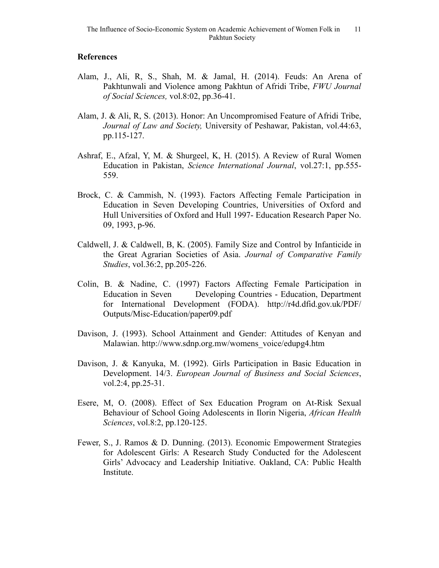### **References**

- Alam, J., Ali, R, S., Shah, M. & Jamal, H. (2014). Feuds: An Arena of Pakhtunwali and Violence among Pakhtun of Afridi Tribe, *FWU Journal of Social Sciences,* vol.8:02, pp.36-41.
- Alam, J. & Ali, R, S. (2013). Honor: An Uncompromised Feature of Afridi Tribe, *Journal of Law and Society,* University of Peshawar, Pakistan, vol.44:63, pp.115-127.
- Ashraf, E., Afzal, Y, M. & Shurgeel, K, H. (2015). A Review of Rural Women Education in Pakistan, *Science International Journal*, vol.27:1, pp.555- 559.
- Brock, C. & Cammish, N. (1993). Factors Affecting Female Participation in Education in Seven Developing Countries, Universities of Oxford and Hull Universities of Oxford and Hull 1997- Education Research Paper No. 09, 1993, p-96.
- Caldwell, J. & Caldwell, B, K. (2005). Family Size and Control by Infanticide in the Great Agrarian Societies of Asia. *Journal of Comparative Family Studies*, vol.36:2, pp.205-226.
- Colin, B. & Nadine, C. (1997) Factors Affecting Female Participation in Education in Seven Developing Countries - Education, Department for International Development (FODA). http://r4d.dfid.gov.uk/PDF/ Outputs/Misc-Education/paper09.pdf
- Davison, J. (1993). School Attainment and Gender: Attitudes of Kenyan and Malawian. http://www.sdnp.org.mw/womens\_voice/edupg4.htm
- Davison, J. & Kanyuka, M. (1992). Girls Participation in Basic Education in Development. 14/3. *European Journal of Business and Social Sciences*, vol.2:4, pp.25-31.
- Esere, M, O. (2008). Effect of Sex Education Program on At-Risk Sexual Behaviour of School Going Adolescents in Ilorin Nigeria, *African Health Sciences*, vol.8:2, pp.120-125.
- Fewer, S., J. Ramos & D. Dunning. (2013). Economic Empowerment Strategies for Adolescent Girls: A Research Study Conducted for the Adolescent Girls' Advocacy and Leadership Initiative. Oakland, CA: Public Health Institute.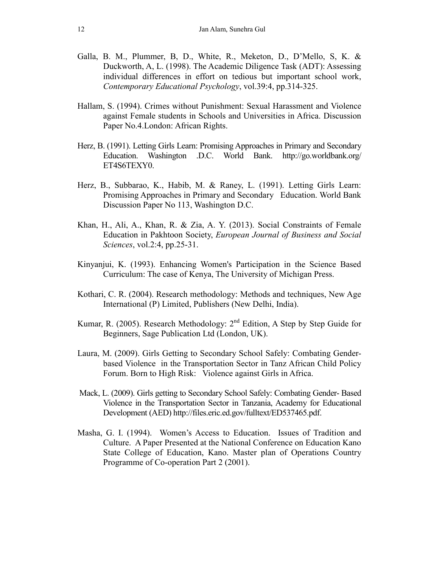- Galla, B. M., Plummer, B, D., White, R., Meketon, D., D'Mello, S, K. & Duckworth, A, L. (1998). The Academic Diligence Task (ADT): Assessing individual differences in effort on tedious but important school work, *Contemporary Educational Psychology*, vol.39:4, pp.314-325.
- Hallam, S. (1994). Crimes without Punishment: Sexual Harassment and Violence against Female students in Schools and Universities in Africa. Discussion Paper No.4.London: African Rights.
- Herz, B. (1991). Letting Girls Learn: Promising Approaches in Primary and Secondary Education. Washington .D.C. World Bank. http://go.worldbank.org/ ET4S6TEXY0.
- Herz, B., Subbarao, K., Habib, M. & Raney, L. (1991). Letting Girls Learn: Promising Approaches in Primary and Secondary Education. World Bank Discussion Paper No 113, Washington D.C.
- Khan, H., Ali, A., Khan, R. & Zia, A. Y. (2013). Social Constraints of Female Education in Pakhtoon Society, *European Journal of Business and Social Sciences*, vol.2:4, pp.25-31.
- Kinyanjui, K. (1993). Enhancing Women's Participation in the Science Based Curriculum: The case of Kenya, The University of Michigan Press.
- Kothari, C. R. (2004). Research methodology: Methods and techniques, New Age International (P) Limited, Publishers (New Delhi, India).
- Kumar, R. (2005). Research Methodology:  $2<sup>nd</sup>$  Edition, A Step by Step Guide for Beginners, Sage Publication Ltd (London, UK).
- Laura, M. (2009). Girls Getting to Secondary School Safely: Combating Genderbased Violence in the Transportation Sector in Tanz African Child Policy Forum. Born to High Risk: Violence against Girls in Africa.
- Mack, L. (2009). Girls getting to Secondary School Safely: Combating Gender- Based Violence in the Transportation Sector in Tanzania, Academy for Educational Development (AED) http://files.eric.ed.gov/fulltext/ED537465.pdf.
- Masha, G. I. (1994). Women's Access to Education. Issues of Tradition and Culture. A Paper Presented at the National Conference on Education Kano State College of Education, Kano. Master plan of Operations Country Programme of Co-operation Part 2 (2001).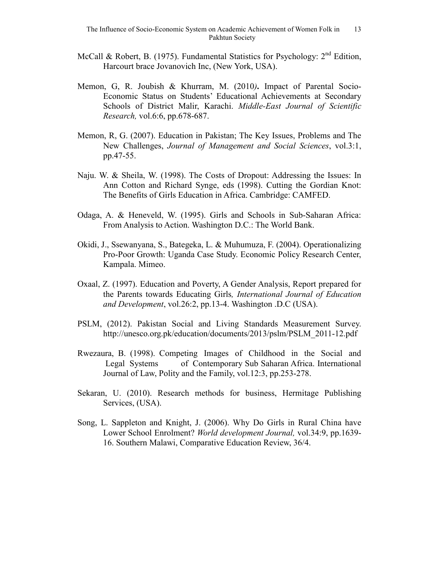- McCall & Robert, B. (1975). Fundamental Statistics for Psychology:  $2<sup>nd</sup>$  Edition, Harcourt brace Jovanovich Inc, (New York, USA).
- Memon, G, R. Joubish & Khurram, M. (2010*)***.** Impact of Parental Socio-Economic Status on Students' Educational Achievements at Secondary Schools of District Malir, Karachi. *Middle-East Journal of Scientific Research,* vol.6:6, pp.678-687.
- Memon, R, G. (2007). Education in Pakistan; The Key Issues, Problems and The New Challenges, *Journal of Management and Social Sciences*, vol.3:1, pp.47-55.
- Naju. W. & Sheila, W. (1998). The Costs of Dropout: Addressing the Issues: In Ann Cotton and Richard Synge, eds (1998). Cutting the Gordian Knot: The Benefits of Girls Education in Africa. Cambridge: CAMFED.
- Odaga, A. & Heneveld, W. (1995). Girls and Schools in Sub-Saharan Africa: From Analysis to Action. Washington D.C.: The World Bank.
- Okidi, J., Ssewanyana, S., Bategeka, L. & Muhumuza, F. (2004). Operationalizing Pro-Poor Growth: Uganda Case Study. Economic Policy Research Center, Kampala. Mimeo.
- Oxaal, Z. (1997). Education and Poverty, A Gender Analysis, Report prepared for the Parents towards Educating Girls*, International Journal of Education and Development*, vol.26:2, pp.13-4. Washington .D.C (USA).
- PSLM, (2012). Pakistan Social and Living Standards Measurement Survey. http://unesco.org.pk/education/documents/2013/pslm/PSLM\_2011-12.pdf
- Rwezaura, B. (1998). Competing Images of Childhood in the Social and Legal Systems of Contemporary Sub Saharan Africa. International Journal of Law, Polity and the Family, vol.12:3, pp.253-278.
- Sekaran, U. (2010). Research methods for business, Hermitage Publishing Services, (USA).
- Song, L. Sappleton and Knight, J. (2006). Why Do Girls in Rural China have Lower School Enrolment? *World development Journal,* vol.34:9, pp.1639- 16. Southern Malawi, Comparative Education Review, 36/4.